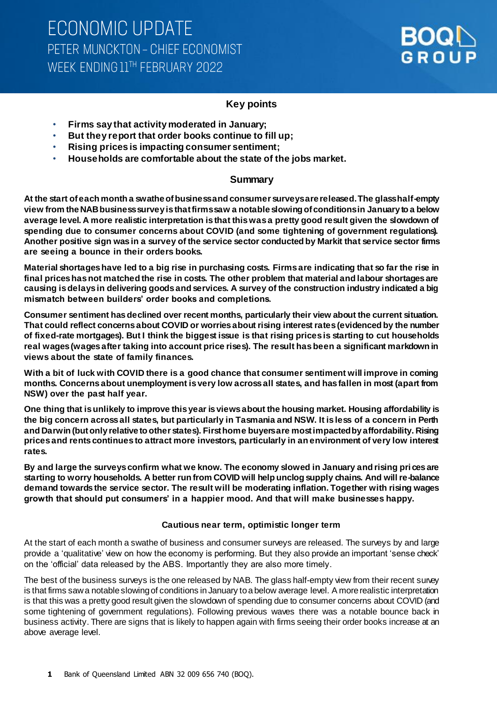

### **Key points**

- **Firms say that activity moderated in January;**
- **But they report that order books continue to fill up;**
- **Rising prices is impacting consumer sentiment;**
- **Households are comfortable about the state of the jobs market.**

#### **Summary**

**At the start of each month a swathe of business and consumer surveys are released. The glass half-empty view from the NAB business survey is that firms saw a notable slowing of conditions in January to a below average level. A more realistic interpretation is that this was a pretty good result given the slowdown of spending due to consumer concerns about COVID (and some tightening of government regulations). Another positive sign was in a survey of the service sector conducted by Markit that service sector firms are seeing a bounce in their orders books.** 

**Material shortages have led to a big rise in purchasing costs. Firms are indicating that so far the rise in final prices has not matched the rise in costs. The other problem that material and labour shortages are causing is delays in delivering goods and services. A survey of the construction industry indicated a big mismatch between builders' order books and completions.** 

**Consumer sentiment has declined over recent months, particularly their view about the current situation. That could reflect concerns about COVID or worries about rising interest rates (evidenced by the number of fixed-rate mortgages). But I think the biggest issue is that rising prices is starting to cut households real wages (wages after taking into account price rises). The result has been a significant markdown in views about the state of family finances.** 

**With a bit of luck with COVID there is a good chance that consumer sentiment will improve in coming months. Concerns about unemployment is very low across all states, and has fallen in most (apart from NSW) over the past half year.** 

**One thing that is unlikely to improve this year is views about the housing market. Housing affordability is the big concern across all states, but particularly in Tasmania and NSW. It is less of a concern in Perth and Darwin (but only relative to other states). First home buyers are most impacted by affordability. Rising prices and rents continues to attract more investors, particularly in an environment of very low interest rates.**

**By and large the surveys confirm what we know. The economy slowed in January and rising prices are starting to worry households. A better run from COVID will help unclog supply chains. And will re-balance demand towards the service sector. The result will be moderating inflation. Together with rising wages growth that should put consumers' in a happier mood. And that will make businesses happy.**

#### **Cautious near term, optimistic longer term**

At the start of each month a swathe of business and consumer surveys are released. The surveys by and large provide a 'qualitative' view on how the economy is performing. But they also provide an important 'sense check' on the 'official' data released by the ABS. Importantly they are also more timely.

The best of the business surveys is the one released by NAB. The glass half-empty view from their recent survey is that firms saw a notable slowing of conditions in January to a below average level. A more realistic interpretation is that this was a pretty good result given the slowdown of spending due to consumer concerns about COVID (and some tightening of government regulations). Following previous waves there was a notable bounce back in business activity. There are signs that is likely to happen again with firms seeing their order books increase at an above average level.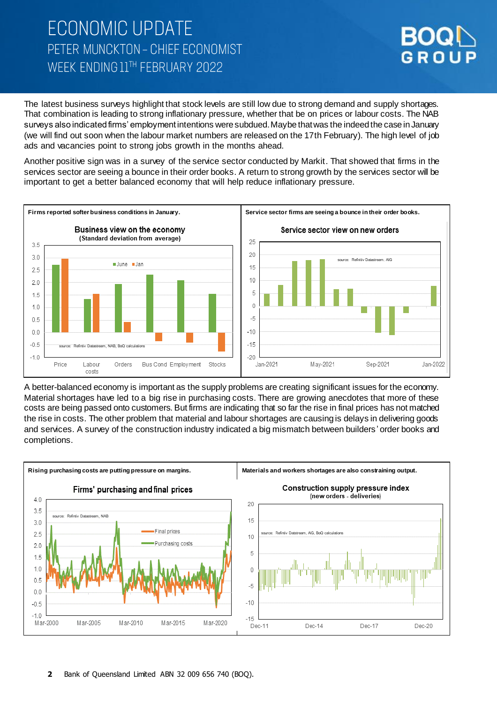# **ECONOMIC UPDATE** PETER MUNCKTON - CHIEF ECONOMIST WEEK FNDING 11TH FEBRUARY 2022



The latest business surveys highlight that stock levels are still low due to strong demand and supply shortages. That combination is leading to strong inflationary pressure, whether that be on prices or labour costs. The NAB surveys also indicated firms' employment intentions were subdued. Maybe that was the indeed the case in January (we will find out soon when the labour market numbers are released on the 17th February). The high level of job ads and vacancies point to strong jobs growth in the months ahead.

Another positive sign was in a survey of the service sector conducted by Markit. That showed that firms in the services sector are seeing a bounce in their order books. A return to strong growth by the services sector will be important to get a better balanced economy that will help reduce inflationary pressure.



A better-balanced economy is important as the supply problems are creating significant issues for the economy. Material shortages have led to a big rise in purchasing costs. There are growing anecdotes that more of these costs are being passed onto customers. But firms are indicating that so far the rise in final prices has not matched the rise in costs. The other problem that material and labour shortages are causing is delays in delivering goods and services. A survey of the construction industry indicated a big mismatch between builders' order books and completions.

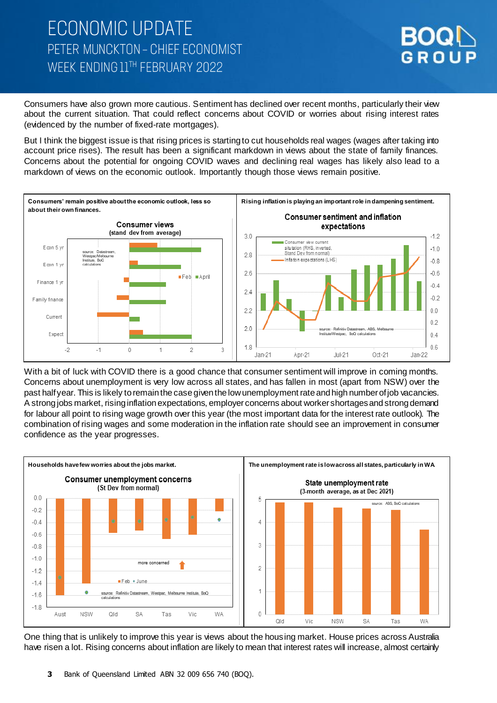# **ECONOMIC UPDATE** PETER MUNCKTON - CHIEF ECONOMIST WEEK ENDING 11TH FEBRUARY 2022



Consumers have also grown more cautious. Sentiment has declined over recent months, particularly their view about the current situation. That could reflect concerns about COVID or worries about rising interest rates (evidenced by the number of fixed-rate mortgages).

But I think the biggest issue is that rising prices is starting to cut households real wages (wages after taking into account price rises). The result has been a significant markdown in views about the state of family finances. Concerns about the potential for ongoing COVID waves and declining real wages has likely also lead to a markdown of views on the economic outlook. Importantly though those views remain positive.



With a bit of luck with COVID there is a good chance that consumer sentiment will improve in coming months. Concerns about unemployment is very low across all states, and has fallen in most (apart from NSW) over the past half year. This is likely to remain the case given the low unemployment rate and high number of job vacancies. A strong jobs market, rising inflation expectations, employer concerns about worker shortages and strong demand for labour all point to rising wage growth over this year (the most important data for the interest rate outlook). The combination of rising wages and some moderation in the inflation rate should see an improvement in consumer confidence as the year progresses.



One thing that is unlikely to improve this year is views about the housing market. House prices across Australia have risen a lot. Rising concerns about inflation are likely to mean that interest rates will increase, almost certainly